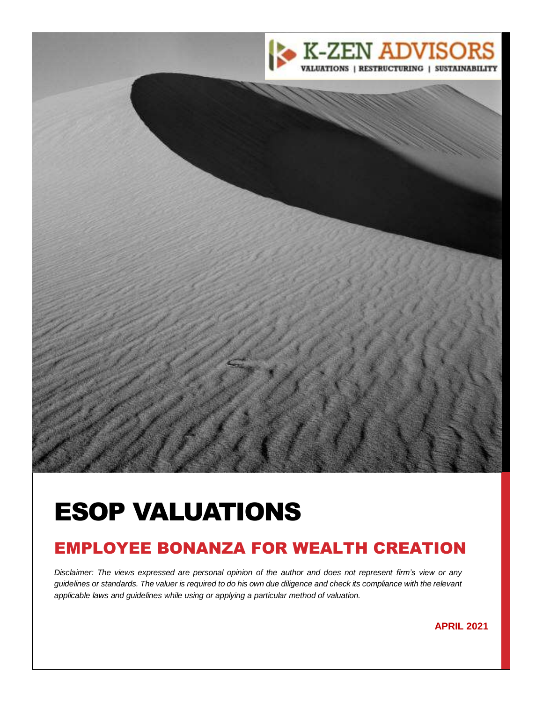

# ESOP VALUATIONS

## EMPLOYEE BONANZA FOR WEALTH CREATION

*Disclaimer: The views expressed are personal opinion of the author and does not represent firm's view or any guidelines or standards. The valuer is required to do his own due diligence and check its compliance with the relevant applicable laws and guidelines while using or applying a particular method of valuation.*

<sup>2</sup> **APRIL <sup>2021</sup>**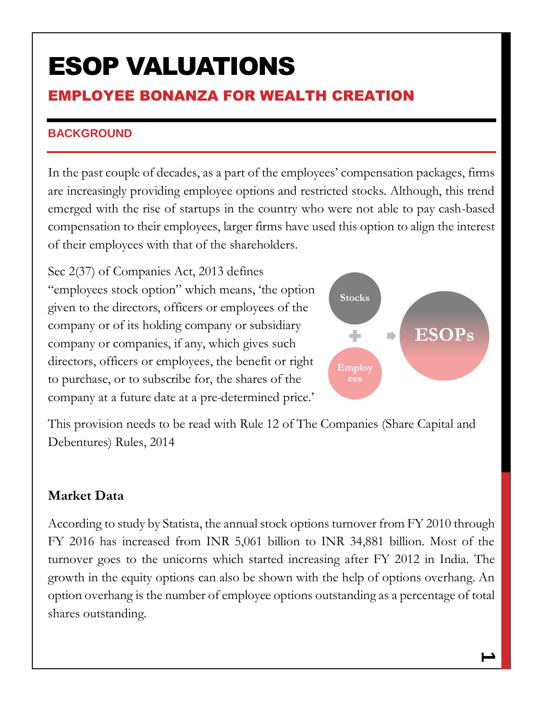# ESOP VALUATIONS

## EMPLOYEE BONANZA FOR WEALTH CREATION

### **BACKGROUND**

In the past couple of decades, as a part of the employees' compensation packages, firms are increasingly providing employee options and restricted stocks. Although, this trend emerged with the rise of startups in the country who were not able to pay cash-based compensation to their employees, larger firms have used this option to align the interest of their employees with that of the shareholders.

Sec 2(37) of Companies Act, 2013 defines "employees stock option" which means, 'the option given to the directors, officers or employees of the company or of its holding company or subsidiary company or companies, if any, which gives such directors, officers or employees, the benefit or right to purchase, or to subscribe for, the shares of the company at a future date at a pre-determined price.'



This provision needs to be read with Rule 12 of The Companies (Share Capital and Debentures) Rules, 2014

## **Market Data**

According to study by Statista, the annual stock options turnover from FY 2010 through FY 2016 has increased from INR 5,061 billion to INR 34,881 billion. Most of the turnover goes to the unicorns which started increasing after FY 2012 in India. The growth in the equity options can also be shown with the help of options overhang. An option overhang is the number of employee options outstanding as a percentage of total shares outstanding.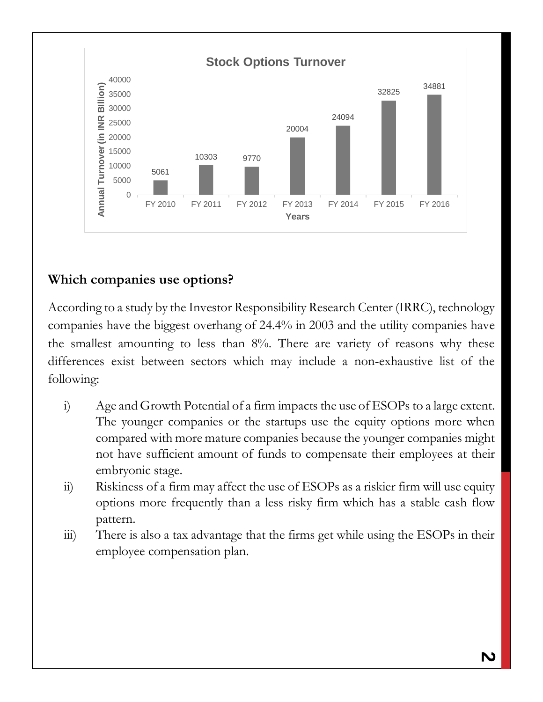

## **Which companies use options?**

According to a study by the Investor Responsibility Research Center (IRRC), technology companies have the biggest overhang of 24.4% in 2003 and the utility companies have the smallest amounting to less than 8%. There are variety of reasons why these differences exist between sectors which may include a non-exhaustive list of the following:

- i) Age and Growth Potential of a firm impacts the use of ESOPs to a large extent. The younger companies or the startups use the equity options more when compared with more mature companies because the younger companies might not have sufficient amount of funds to compensate their employees at their embryonic stage.
- ii) Riskiness of a firm may affect the use of ESOPs as a riskier firm will use equity options more frequently than a less risky firm which has a stable cash flow pattern.
- iii) There is also a tax advantage that the firms get while using the ESOPs in their employee compensation plan.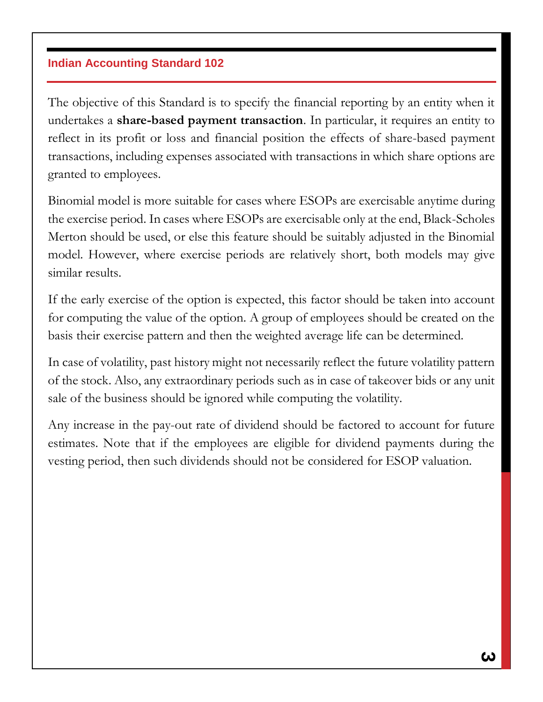#### **Indian Accounting Standard 102**

The objective of this Standard is to specify the financial reporting by an entity when it undertakes a **share-based payment transaction**. In particular, it requires an entity to reflect in its profit or loss and financial position the effects of share-based payment transactions, including expenses associated with transactions in which share options are granted to employees.

Binomial model is more suitable for cases where ESOPs are exercisable anytime during the exercise period. In cases where ESOPs are exercisable only at the end, Black-Scholes Merton should be used, or else this feature should be suitably adjusted in the Binomial model. However, where exercise periods are relatively short, both models may give similar results.

If the early exercise of the option is expected, this factor should be taken into account for computing the value of the option. A group of employees should be created on the basis their exercise pattern and then the weighted average life can be determined.

In case of volatility, past history might not necessarily reflect the future volatility pattern of the stock. Also, any extraordinary periods such as in case of takeover bids or any unit sale of the business should be ignored while computing the volatility.

Any increase in the pay-out rate of dividend should be factored to account for future estimates. Note that if the employees are eligible for dividend payments during the vesting period, then such dividends should not be considered for ESOP valuation.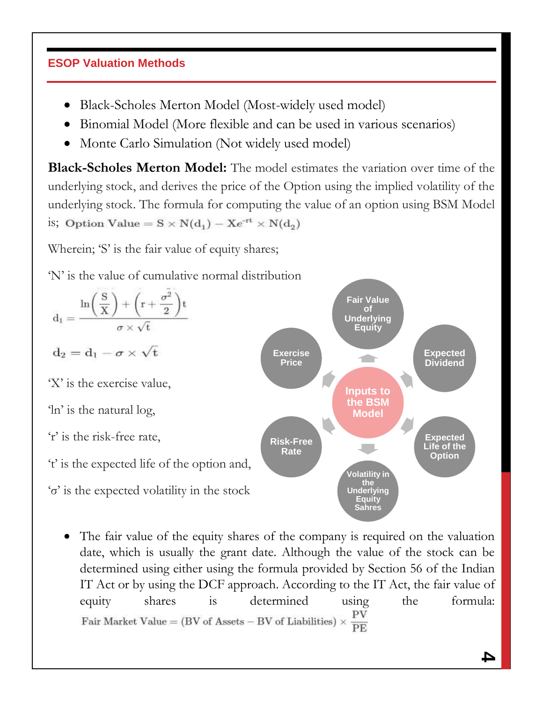### **ESOP Valuation Methods**

- Black-Scholes Merton Model (Most-widely used model)
- Binomial Model (More flexible and can be used in various scenarios)
- Monte Carlo Simulation (Not widely used model)

**Black-Scholes Merton Model:** The model estimates the variation over time of the underlying stock, and derives the price of the Option using the implied volatility of the underlying stock. The formula for computing the value of an option using BSM Model is; Option Value =  $S \times N(d_1) - Xe^{rt} \times N(d_2)$ 

Wherein; 'S' is the fair value of equity shares;

'N' is the value of cumulative normal distribution



 The fair value of the equity shares of the company is required on the valuation date, which is usually the grant date. Although the value of the stock can be determined using either using the formula provided by Section 56 of the Indian IT Act or by using the DCF approach. According to the IT Act, the fair value of equity shares is determined using the formula: Fair Market Value = (BV of Assets – BV of Liabilities)  $\times \frac{PV}{PE}$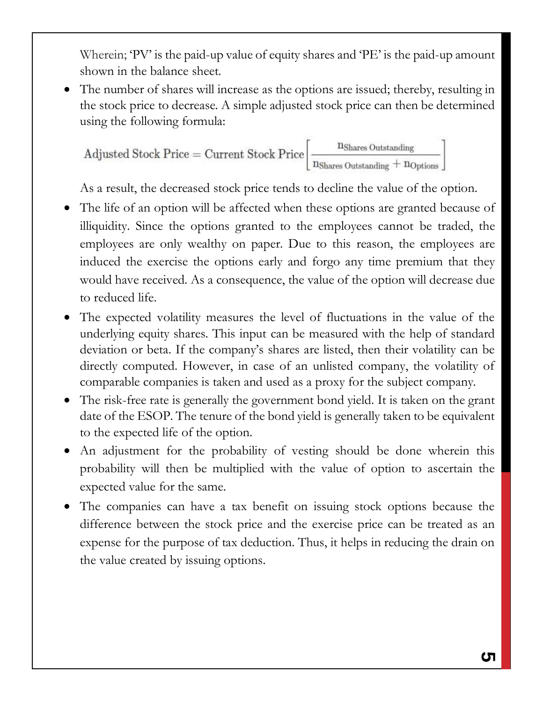Wherein; 'PV' is the paid-up value of equity shares and 'PE' is the paid-up amount shown in the balance sheet.

 The number of shares will increase as the options are issued; thereby, resulting in the stock price to decrease. A simple adjusted stock price can then be determined using the following formula:

 $\text{Adjusted Stock Price} = \text{Current Stock Price}\left[\frac{n_{\text{Shares Outstanding}}}{n_{\text{Shares Outstanding}} + n_{\text{Options}}}\right]$ 

As a result, the decreased stock price tends to decline the value of the option.

- The life of an option will be affected when these options are granted because of illiquidity. Since the options granted to the employees cannot be traded, the employees are only wealthy on paper. Due to this reason, the employees are induced the exercise the options early and forgo any time premium that they would have received. As a consequence, the value of the option will decrease due to reduced life.
- The expected volatility measures the level of fluctuations in the value of the underlying equity shares. This input can be measured with the help of standard deviation or beta. If the company's shares are listed, then their volatility can be directly computed. However, in case of an unlisted company, the volatility of comparable companies is taken and used as a proxy for the subject company.
- The risk-free rate is generally the government bond yield. It is taken on the grant date of the ESOP. The tenure of the bond yield is generally taken to be equivalent to the expected life of the option.
- An adjustment for the probability of vesting should be done wherein this probability will then be multiplied with the value of option to ascertain the expected value for the same.
- The companies can have a tax benefit on issuing stock options because the difference between the stock price and the exercise price can be treated as an expense for the purpose of tax deduction. Thus, it helps in reducing the drain on the value created by issuing options.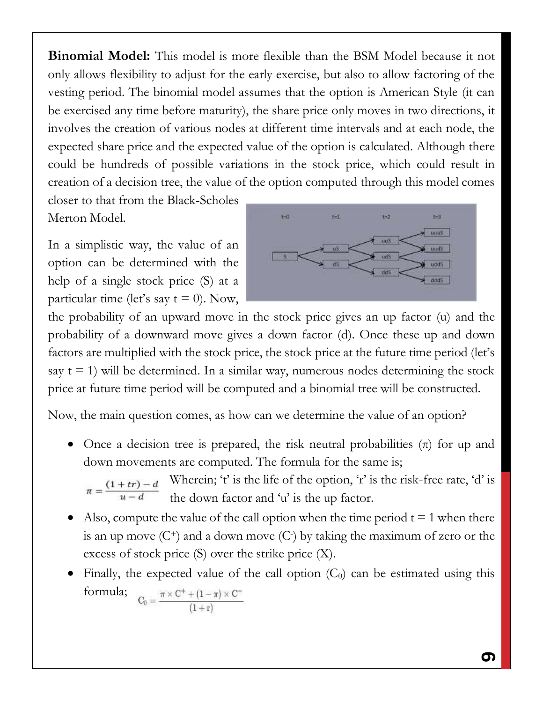**Binomial Model:** This model is more flexible than the BSM Model because it not only allows flexibility to adjust for the early exercise, but also to allow factoring of the vesting period. The binomial model assumes that the option is American Style (it can be exercised any time before maturity), the share price only moves in two directions, it involves the creation of various nodes at different time intervals and at each node, the expected share price and the expected value of the option is calculated. Although there could be hundreds of possible variations in the stock price, which could result in creation of a decision tree, the value of the option computed through this model comes

closer to that from the Black-Scholes Merton Model.

In a simplistic way, the value of an option can be determined with the help of a single stock price (S) at a particular time (let's say  $t = 0$ ). Now,



the probability of an upward move in the stock price gives an up factor (u) and the probability of a downward move gives a down factor (d). Once these up and down factors are multiplied with the stock price, the stock price at the future time period (let's say  $t = 1$ ) will be determined. In a similar way, numerous nodes determining the stock price at future time period will be computed and a binomial tree will be constructed.

Now, the main question comes, as how can we determine the value of an option?

• Once a decision tree is prepared, the risk neutral probabilities  $(\pi)$  for up and down movements are computed. The formula for the same is;

Wherein; 't' is the life of the option, 'r' is the risk-free rate, 'd' is the down factor and 'u' is the up factor.

- Also, compute the value of the call option when the time period  $t = 1$  when there is an up move  $(C^+)$  and a down move  $(C)$  by taking the maximum of zero or the excess of stock price (S) over the strike price (X).
- Finally, the expected value of the call option  $(C_0)$  can be estimated using this formula;  $C_0 = \frac{\pi \times C^+ + (1 - \pi) \times C^-}{(1 + r)}$